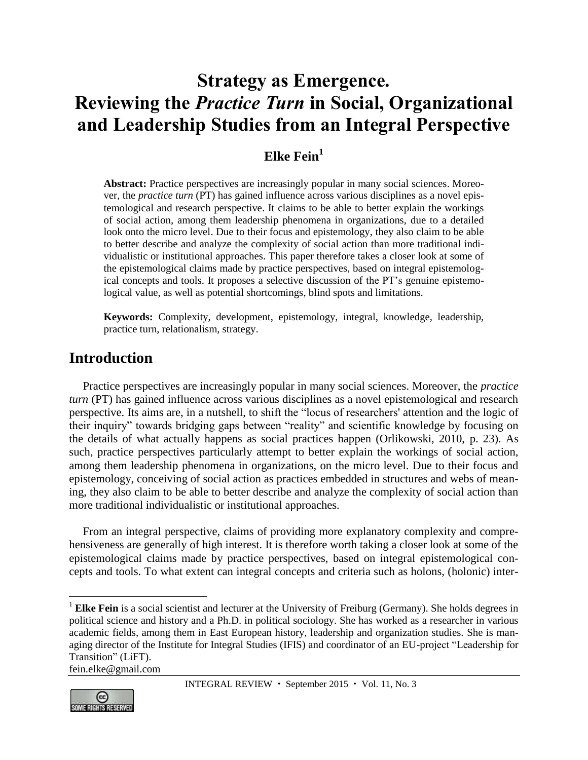# **Strategy as Emergence. Reviewing the** *Practice Turn* **in Social, Organizational and Leadership Studies from an Integral Perspective**

# **Elke Fein<sup>1</sup>**

**Abstract:** Practice perspectives are increasingly popular in many social sciences. Moreover, the *practice turn* (PT) has gained influence across various disciplines as a novel epistemological and research perspective. It claims to be able to better explain the workings of social action, among them leadership phenomena in organizations, due to a detailed look onto the micro level. Due to their focus and epistemology, they also claim to be able to better describe and analyze the complexity of social action than more traditional individualistic or institutional approaches. This paper therefore takes a closer look at some of the epistemological claims made by practice perspectives, based on integral epistemological concepts and tools. It proposes a selective discussion of the PT's genuine epistemological value, as well as potential shortcomings, blind spots and limitations.

**Keywords:** Complexity, development, epistemology, integral, knowledge, leadership, practice turn, relationalism, strategy.

## **Introduction**

Practice perspectives are increasingly popular in many social sciences. Moreover, the *practice turn* (PT) has gained influence across various disciplines as a novel epistemological and research perspective. Its aims are, in a nutshell, to shift the "locus of researchers' attention and the logic of their inquiry" towards bridging gaps between "reality" and scientific knowledge by focusing on the details of what actually happens as social practices happen (Orlikowski, 2010, p. 23). As such, practice perspectives particularly attempt to better explain the workings of social action, among them leadership phenomena in organizations, on the micro level. Due to their focus and epistemology, conceiving of social action as practices embedded in structures and webs of meaning, they also claim to be able to better describe and analyze the complexity of social action than more traditional individualistic or institutional approaches.

From an integral perspective, claims of providing more explanatory complexity and comprehensiveness are generally of high interest. It is therefore worth taking a closer look at some of the epistemological claims made by practice perspectives, based on integral epistemological concepts and tools. To what extent can integral concepts and criteria such as holons, (holonic) inter-

@ **SOMERIGHTS RESERVED** 

 $\overline{a}$ 

<sup>&</sup>lt;sup>1</sup> **Elke Fein** is a social scientist and lecturer at the University of Freiburg (Germany). She holds degrees in political science and history and a Ph.D. in political sociology. She has worked as a researcher in various academic fields, among them in East European history, leadership and organization studies. She is managing director of the Institute for Integral Studies (IFIS) and coordinator of an EU-project "Leadership for Transition" (LiFT). [fein.elke@gmail.com](mailto:fein.elke@gmail.com)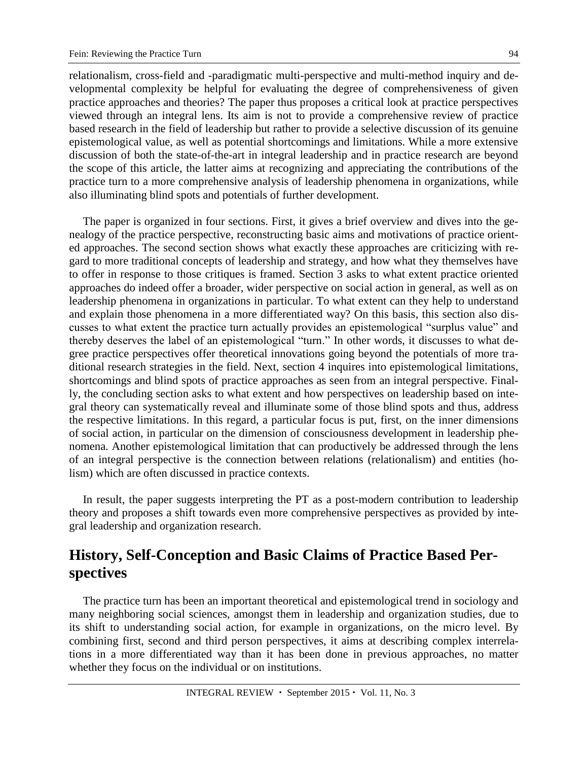relationalism, cross-field and -paradigmatic multi-perspective and multi-method inquiry and developmental complexity be helpful for evaluating the degree of comprehensiveness of given practice approaches and theories? The paper thus proposes a critical look at practice perspectives viewed through an integral lens. Its aim is not to provide a comprehensive review of practice based research in the field of leadership but rather to provide a selective discussion of its genuine epistemological value, as well as potential shortcomings and limitations. While a more extensive discussion of both the state-of-the-art in integral leadership and in practice research are beyond the scope of this article, the latter aims at recognizing and appreciating the contributions of the practice turn to a more comprehensive analysis of leadership phenomena in organizations, while also illuminating blind spots and potentials of further development.

The paper is organized in four sections. First, it gives a brief overview and dives into the genealogy of the practice perspective, reconstructing basic aims and motivations of practice oriented approaches. The second section shows what exactly these approaches are criticizing with regard to more traditional concepts of leadership and strategy, and how what they themselves have to offer in response to those critiques is framed. Section 3 asks to what extent practice oriented approaches do indeed offer a broader, wider perspective on social action in general, as well as on leadership phenomena in organizations in particular. To what extent can they help to understand and explain those phenomena in a more differentiated way? On this basis, this section also discusses to what extent the practice turn actually provides an epistemological "surplus value" and thereby deserves the label of an epistemological "turn." In other words, it discusses to what degree practice perspectives offer theoretical innovations going beyond the potentials of more traditional research strategies in the field. Next, section 4 inquires into epistemological limitations, shortcomings and blind spots of practice approaches as seen from an integral perspective. Finally, the concluding section asks to what extent and how perspectives on leadership based on integral theory can systematically reveal and illuminate some of those blind spots and thus, address the respective limitations. In this regard, a particular focus is put, first, on the inner dimensions of social action, in particular on the dimension of consciousness development in leadership phenomena. Another epistemological limitation that can productively be addressed through the lens of an integral perspective is the connection between relations (relationalism) and entities (holism) which are often discussed in practice contexts.

In result, the paper suggests interpreting the PT as a post-modern contribution to leadership theory and proposes a shift towards even more comprehensive perspectives as provided by integral leadership and organization research.

# **History, Self-Conception and Basic Claims of Practice Based Perspectives**

The practice turn has been an important theoretical and epistemological trend in sociology and many neighboring social sciences, amongst them in leadership and organization studies, due to its shift to understanding social action, for example in organizations, on the micro level. By combining first, second and third person perspectives, it aims at describing complex interrelations in a more differentiated way than it has been done in previous approaches, no matter whether they focus on the individual or on institutions.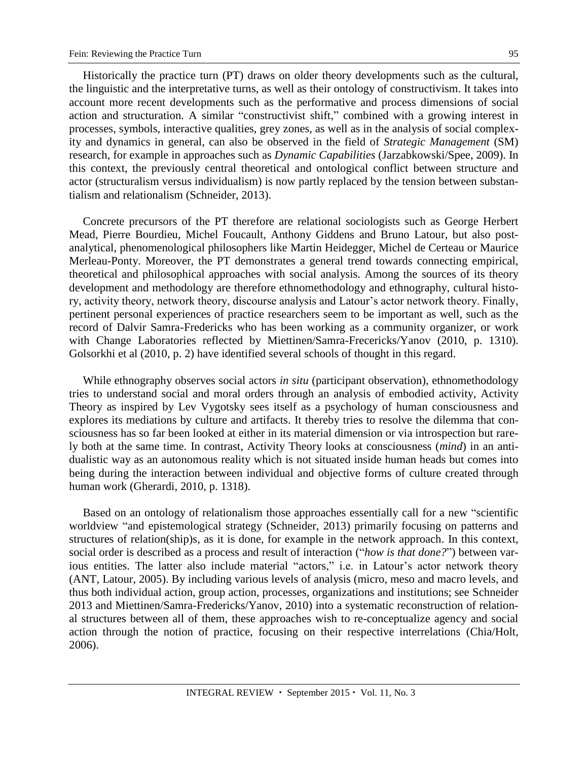Historically the practice turn (PT) draws on older theory developments such as the cultural, the linguistic and the interpretative turns, as well as their ontology of constructivism. It takes into account more recent developments such as the performative and process dimensions of social action and structuration. A similar "constructivist shift," combined with a growing interest in processes, symbols, interactive qualities, grey zones, as well as in the analysis of social complexity and dynamics in general, can also be observed in the field of *Strategic Management* (SM) research, for example in approaches such as *Dynamic Capabilities* (Jarzabkowski/Spee, 2009). In this context, the previously central theoretical and ontological conflict between structure and actor (structuralism versus individualism) is now partly replaced by the tension between substantialism and relationalism (Schneider, 2013).

Concrete precursors of the PT therefore are relational sociologists such as George Herbert Mead, Pierre Bourdieu, Michel Foucault, Anthony Giddens and Bruno Latour, but also postanalytical, phenomenological philosophers like Martin Heidegger, Michel de Certeau or Maurice Merleau-Ponty. Moreover, the PT demonstrates a general trend towards connecting empirical, theoretical and philosophical approaches with social analysis. Among the sources of its theory development and methodology are therefore ethnomethodology and ethnography, cultural history, activity theory, network theory, discourse analysis and Latour's actor network theory. Finally, pertinent personal experiences of practice researchers seem to be important as well, such as the record of Dalvir Samra-Fredericks who has been working as a community organizer, or work with Change Laboratories reflected by Miettinen/Samra-Frecericks/Yanov (2010, p. 1310). Golsorkhi et al (2010, p. 2) have identified several schools of thought in this regard.

While ethnography observes social actors *in situ* (participant observation), ethnomethodology tries to understand social and moral orders through an analysis of embodied activity, Activity Theory as inspired by Lev Vygotsky sees itself as a psychology of human consciousness and explores its mediations by culture and artifacts. It thereby tries to resolve the dilemma that consciousness has so far been looked at either in its material dimension or via introspection but rarely both at the same time. In contrast, Activity Theory looks at consciousness (*mind*) in an antidualistic way as an autonomous reality which is not situated inside human heads but comes into being during the interaction between individual and objective forms of culture created through human work (Gherardi, 2010, p. 1318).

Based on an ontology of relationalism those approaches essentially call for a new "scientific worldview "and epistemological strategy (Schneider, 2013) primarily focusing on patterns and structures of relation(ship)s, as it is done, for example in the network approach. In this context, social order is described as a process and result of interaction ("*how is that done?*") between various entities. The latter also include material "actors," i.e. in Latour's actor network theory (ANT, Latour, 2005). By including various levels of analysis (micro, meso and macro levels, and thus both individual action, group action, processes, organizations and institutions; see Schneider 2013 and Miettinen/Samra-Fredericks/Yanov, 2010) into a systematic reconstruction of relational structures between all of them, these approaches wish to re-conceptualize agency and social action through the notion of practice, focusing on their respective interrelations (Chia/Holt, 2006).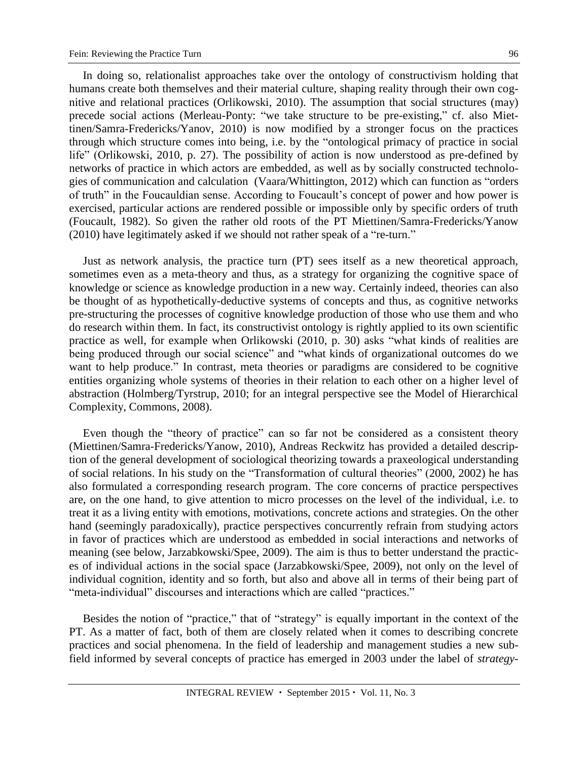In doing so, relationalist approaches take over the ontology of constructivism holding that humans create both themselves and their material culture, shaping reality through their own cognitive and relational practices (Orlikowski, 2010). The assumption that social structures (may) precede social actions (Merleau-Ponty: "we take structure to be pre-existing," cf. also Miettinen/Samra-Fredericks/Yanov, 2010) is now modified by a stronger focus on the practices through which structure comes into being, i.e. by the "ontological primacy of practice in social life" (Orlikowski, 2010, p. 27). The possibility of action is now understood as pre-defined by networks of practice in which actors are embedded, as well as by socially constructed technologies of communication and calculation (Vaara/Whittington, 2012) which can function as "orders of truth" in the Foucauldian sense. According to Foucault's concept of power and how power is exercised, particular actions are rendered possible or impossible only by specific orders of truth (Foucault, 1982). So given the rather old roots of the PT Miettinen/Samra-Fredericks/Yanow (2010) have legitimately asked if we should not rather speak of a "re-turn."

Just as network analysis, the practice turn (PT) sees itself as a new theoretical approach, sometimes even as a meta-theory and thus, as a strategy for organizing the cognitive space of knowledge or science as knowledge production in a new way. Certainly indeed, theories can also be thought of as hypothetically-deductive systems of concepts and thus, as cognitive networks pre-structuring the processes of cognitive knowledge production of those who use them and who do research within them. In fact, its constructivist ontology is rightly applied to its own scientific practice as well, for example when Orlikowski (2010, p. 30) asks "what kinds of realities are being produced through our social science" and "what kinds of organizational outcomes do we want to help produce." In contrast, meta theories or paradigms are considered to be cognitive entities organizing whole systems of theories in their relation to each other on a higher level of abstraction (Holmberg/Tyrstrup, 2010; for an integral perspective see the Model of Hierarchical Complexity, Commons, 2008).

Even though the "theory of practice" can so far not be considered as a consistent theory (Miettinen/Samra-Fredericks/Yanow, 2010), Andreas Reckwitz has provided a detailed description of the general development of sociological theorizing towards a praxeological understanding of social relations. In his study on the "Transformation of cultural theories" (2000, 2002) he has also formulated a corresponding research program. The core concerns of practice perspectives are, on the one hand, to give attention to micro processes on the level of the individual, i.e. to treat it as a living entity with emotions, motivations, concrete actions and strategies. On the other hand (seemingly paradoxically), practice perspectives concurrently refrain from studying actors in favor of practices which are understood as embedded in social interactions and networks of meaning (see below, Jarzabkowski/Spee, 2009). The aim is thus to better understand the practices of individual actions in the social space (Jarzabkowski/Spee, 2009), not only on the level of individual cognition, identity and so forth, but also and above all in terms of their being part of "meta-individual" discourses and interactions which are called "practices."

Besides the notion of "practice," that of "strategy" is equally important in the context of the PT. As a matter of fact, both of them are closely related when it comes to describing concrete practices and social phenomena. In the field of leadership and management studies a new subfield informed by several concepts of practice has emerged in 2003 under the label of *strategy-*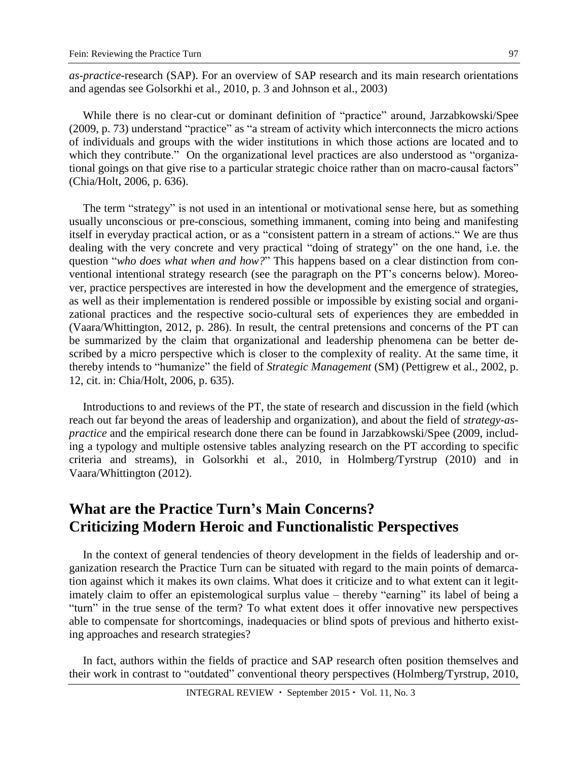*as-practice*-research (SAP). For an overview of SAP research and its main research orientations and agendas see Golsorkhi et al., 2010, p. 3 and Johnson et al., 2003)

While there is no clear-cut or dominant definition of "practice" around, Jarzabkowski/Spee (2009, p. 73) understand "practice" as "a stream of activity which interconnects the micro actions of individuals and groups with the wider institutions in which those actions are located and to which they contribute." On the organizational level practices are also understood as "organizational goings on that give rise to a particular strategic choice rather than on macro-causal factors" (Chia/Holt, 2006, p. 636).

The term "strategy" is not used in an intentional or motivational sense here, but as something usually unconscious or pre-conscious, something immanent, coming into being and manifesting itself in everyday practical action, or as a "consistent pattern in a stream of actions." We are thus dealing with the very concrete and very practical "doing of strategy" on the one hand, i.e. the question "*who does what when and how?*" This happens based on a clear distinction from conventional intentional strategy research (see the paragraph on the PT's concerns below). Moreover, practice perspectives are interested in how the development and the emergence of strategies, as well as their implementation is rendered possible or impossible by existing social and organizational practices and the respective socio-cultural sets of experiences they are embedded in (Vaara/Whittington, 2012, p. 286). In result, the central pretensions and concerns of the PT can be summarized by the claim that organizational and leadership phenomena can be better described by a micro perspective which is closer to the complexity of reality. At the same time, it thereby intends to "humanize" the field of *Strategic Management* (SM) (Pettigrew et al., 2002, p. 12, cit. in: Chia/Holt, 2006, p. 635).

Introductions to and reviews of the PT, the state of research and discussion in the field (which reach out far beyond the areas of leadership and organization), and about the field of *strategy-aspractice* and the empirical research done there can be found in Jarzabkowski/Spee (2009, including a typology and multiple ostensive tables analyzing research on the PT according to specific criteria and streams), in Golsorkhi et al., 2010, in Holmberg/Tyrstrup (2010) and in Vaara/Whittington (2012).

# **What are the Practice Turn's Main Concerns? Criticizing Modern Heroic and Functionalistic Perspectives**

In the context of general tendencies of theory development in the fields of leadership and organization research the Practice Turn can be situated with regard to the main points of demarcation against which it makes its own claims. What does it criticize and to what extent can it legitimately claim to offer an epistemological surplus value – thereby "earning" its label of being a "turn" in the true sense of the term? To what extent does it offer innovative new perspectives able to compensate for shortcomings, inadequacies or blind spots of previous and hitherto existing approaches and research strategies?

In fact, authors within the fields of practice and SAP research often position themselves and their work in contrast to "outdated" conventional theory perspectives (Holmberg/Tyrstrup, 2010,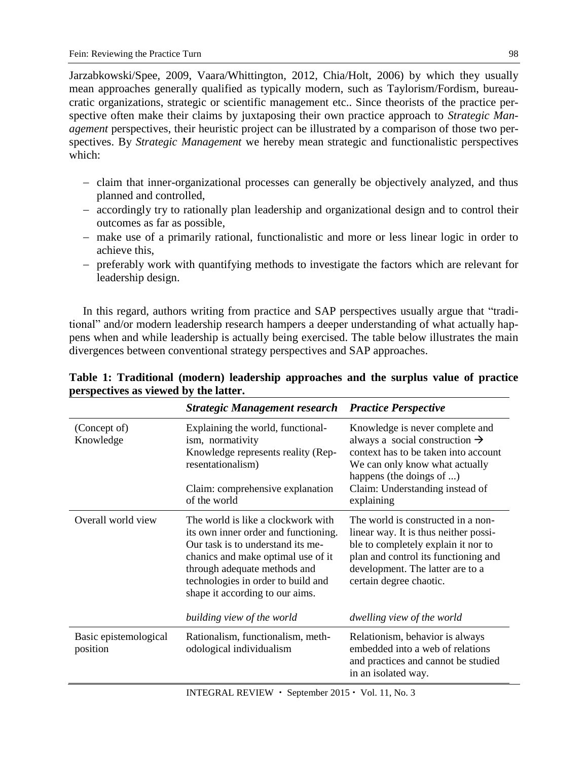Jarzabkowski/Spee, 2009, Vaara/Whittington, 2012, Chia/Holt, 2006) by which they usually mean approaches generally qualified as typically modern, such as Taylorism/Fordism, bureaucratic organizations, strategic or scientific management etc.. Since theorists of the practice perspective often make their claims by juxtaposing their own practice approach to *Strategic Management* perspectives, their heuristic project can be illustrated by a comparison of those two perspectives. By *Strategic Management* we hereby mean strategic and functionalistic perspectives which:

- claim that inner-organizational processes can generally be objectively analyzed, and thus planned and controlled,
- accordingly try to rationally plan leadership and organizational design and to control their outcomes as far as possible,
- make use of a primarily rational, functionalistic and more or less linear logic in order to achieve this,
- preferably work with quantifying methods to investigate the factors which are relevant for leadership design.

In this regard, authors writing from practice and SAP perspectives usually argue that "traditional" and/or modern leadership research hampers a deeper understanding of what actually happens when and while leadership is actually being exercised. The table below illustrates the main divergences between conventional strategy perspectives and SAP approaches.

|                                   | <b>Strategic Management research</b>                                                                                                                                                                                                                           | <b>Practice Perspective</b>                                                                                                                                                                                                          |
|-----------------------------------|----------------------------------------------------------------------------------------------------------------------------------------------------------------------------------------------------------------------------------------------------------------|--------------------------------------------------------------------------------------------------------------------------------------------------------------------------------------------------------------------------------------|
| (Concept of)<br>Knowledge         | Explaining the world, functional-<br>ism, normativity<br>Knowledge represents reality (Rep-<br>resentationalism)<br>Claim: comprehensive explanation<br>of the world                                                                                           | Knowledge is never complete and<br>always a social construction $\rightarrow$<br>context has to be taken into account<br>We can only know what actually<br>happens (the doings of )<br>Claim: Understanding instead of<br>explaining |
| Overall world view                | The world is like a clockwork with<br>its own inner order and functioning.<br>Our task is to understand its me-<br>chanics and make optimal use of it<br>through adequate methods and<br>technologies in order to build and<br>shape it according to our aims. | The world is constructed in a non-<br>linear way. It is thus neither possi-<br>ble to completely explain it nor to<br>plan and control its functioning and<br>development. The latter are to a<br>certain degree chaotic.            |
|                                   | building view of the world                                                                                                                                                                                                                                     | dwelling view of the world                                                                                                                                                                                                           |
| Basic epistemological<br>position | Rationalism, functionalism, meth-<br>odological individualism                                                                                                                                                                                                  | Relationism, behavior is always<br>embedded into a web of relations<br>and practices and cannot be studied<br>in an isolated way.                                                                                                    |

| Table 1: Traditional (modern) leadership approaches and the surplus value of practice |  |  |  |
|---------------------------------------------------------------------------------------|--|--|--|
| perspectives as viewed by the latter.                                                 |  |  |  |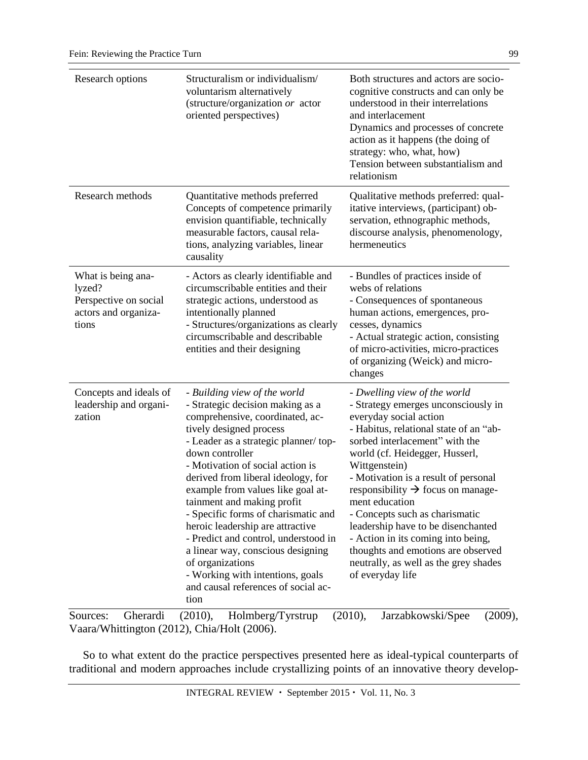| Research options                                                                       | Structuralism or individualism/<br>voluntarism alternatively<br>(structure/organization or actor<br>oriented perspectives)                                                                                                                                                                                                                                                                                                                                                                                                                                                                            | Both structures and actors are socio-<br>cognitive constructs and can only be<br>understood in their interrelations<br>and interlacement<br>Dynamics and processes of concrete<br>action as it happens (the doing of<br>strategy: who, what, how)<br>Tension between substantialism and<br>relationism                                                                                                                                                                                                                                                   |
|----------------------------------------------------------------------------------------|-------------------------------------------------------------------------------------------------------------------------------------------------------------------------------------------------------------------------------------------------------------------------------------------------------------------------------------------------------------------------------------------------------------------------------------------------------------------------------------------------------------------------------------------------------------------------------------------------------|----------------------------------------------------------------------------------------------------------------------------------------------------------------------------------------------------------------------------------------------------------------------------------------------------------------------------------------------------------------------------------------------------------------------------------------------------------------------------------------------------------------------------------------------------------|
| Research methods                                                                       | Quantitative methods preferred<br>Concepts of competence primarily<br>envision quantifiable, technically<br>measurable factors, causal rela-<br>tions, analyzing variables, linear<br>causality                                                                                                                                                                                                                                                                                                                                                                                                       | Qualitative methods preferred: qual-<br>itative interviews, (participant) ob-<br>servation, ethnographic methods,<br>discourse analysis, phenomenology,<br>hermeneutics                                                                                                                                                                                                                                                                                                                                                                                  |
| What is being ana-<br>lyzed?<br>Perspective on social<br>actors and organiza-<br>tions | - Actors as clearly identifiable and<br>circumscribable entities and their<br>strategic actions, understood as<br>intentionally planned<br>- Structures/organizations as clearly<br>circumscribable and describable<br>entities and their designing                                                                                                                                                                                                                                                                                                                                                   | - Bundles of practices inside of<br>webs of relations<br>- Consequences of spontaneous<br>human actions, emergences, pro-<br>cesses, dynamics<br>- Actual strategic action, consisting<br>of micro-activities, micro-practices<br>of organizing (Weick) and micro-<br>changes                                                                                                                                                                                                                                                                            |
| Concepts and ideals of<br>leadership and organi-<br>zation                             | - Building view of the world<br>- Strategic decision making as a<br>comprehensive, coordinated, ac-<br>tively designed process<br>- Leader as a strategic planner/top-<br>down controller<br>- Motivation of social action is<br>derived from liberal ideology, for<br>example from values like goal at-<br>tainment and making profit<br>- Specific forms of charismatic and<br>heroic leadership are attractive<br>- Predict and control, understood in<br>a linear way, conscious designing<br>of organizations<br>- Working with intentions, goals<br>and causal references of social ac-<br>tion | - Dwelling view of the world<br>- Strategy emerges unconsciously in<br>everyday social action<br>- Habitus, relational state of an "ab-<br>sorbed interlacement" with the<br>world (cf. Heidegger, Husserl,<br>Wittgenstein)<br>- Motivation is a result of personal<br>responsibility $\rightarrow$ focus on manage-<br>ment education<br>- Concepts such as charismatic<br>leadership have to be disenchanted<br>- Action in its coming into being,<br>thoughts and emotions are observed<br>neutrally, as well as the grey shades<br>of everyday life |

Sources: Gherardi (2010), Holmberg/Tyrstrup (2010), Jarzabkowski/Spee (2009), Vaara/Whittington (2012), Chia/Holt (2006).

So to what extent do the practice perspectives presented here as ideal-typical counterparts of traditional and modern approaches include crystallizing points of an innovative theory develop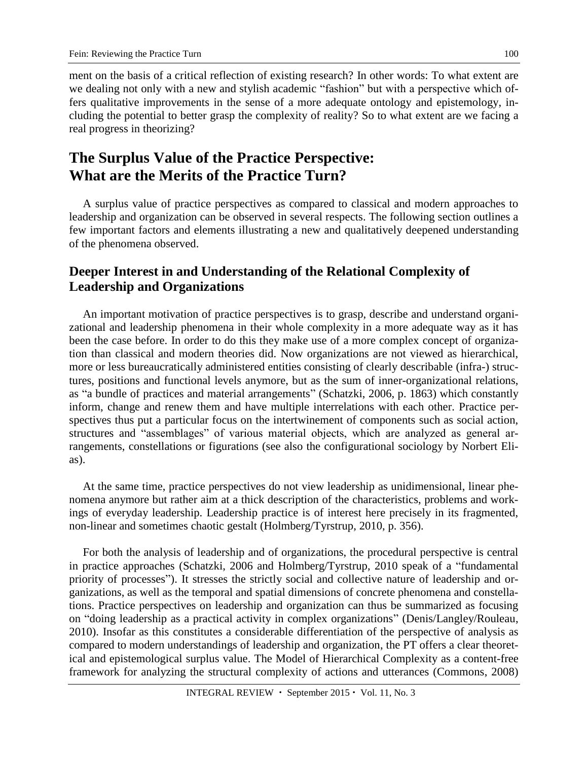ment on the basis of a critical reflection of existing research? In other words: To what extent are we dealing not only with a new and stylish academic "fashion" but with a perspective which offers qualitative improvements in the sense of a more adequate ontology and epistemology, including the potential to better grasp the complexity of reality? So to what extent are we facing a real progress in theorizing?

# **The Surplus Value of the Practice Perspective: What are the Merits of the Practice Turn?**

A surplus value of practice perspectives as compared to classical and modern approaches to leadership and organization can be observed in several respects. The following section outlines a few important factors and elements illustrating a new and qualitatively deepened understanding of the phenomena observed.

### **Deeper Interest in and Understanding of the Relational Complexity of Leadership and Organizations**

An important motivation of practice perspectives is to grasp, describe and understand organizational and leadership phenomena in their whole complexity in a more adequate way as it has been the case before. In order to do this they make use of a more complex concept of organization than classical and modern theories did. Now organizations are not viewed as hierarchical, more or less bureaucratically administered entities consisting of clearly describable (infra-) structures, positions and functional levels anymore, but as the sum of inner-organizational relations, as "a bundle of practices and material arrangements" (Schatzki, 2006, p. 1863) which constantly inform, change and renew them and have multiple interrelations with each other. Practice perspectives thus put a particular focus on the intertwinement of components such as social action, structures and "assemblages" of various material objects, which are analyzed as general arrangements, constellations or figurations (see also the configurational sociology by Norbert Elias).

At the same time, practice perspectives do not view leadership as unidimensional, linear phenomena anymore but rather aim at a thick description of the characteristics, problems and workings of everyday leadership. Leadership practice is of interest here precisely in its fragmented, non-linear and sometimes chaotic gestalt (Holmberg/Tyrstrup, 2010, p. 356).

For both the analysis of leadership and of organizations, the procedural perspective is central in practice approaches (Schatzki, 2006 and Holmberg/Tyrstrup, 2010 speak of a "fundamental priority of processes"). It stresses the strictly social and collective nature of leadership and organizations, as well as the temporal and spatial dimensions of concrete phenomena and constellations. Practice perspectives on leadership and organization can thus be summarized as focusing on "doing leadership as a practical activity in complex organizations" (Denis/Langley/Rouleau, 2010). Insofar as this constitutes a considerable differentiation of the perspective of analysis as compared to modern understandings of leadership and organization, the PT offers a clear theoretical and epistemological surplus value. The Model of Hierarchical Complexity as a content-free framework for analyzing the structural complexity of actions and utterances (Commons, 2008)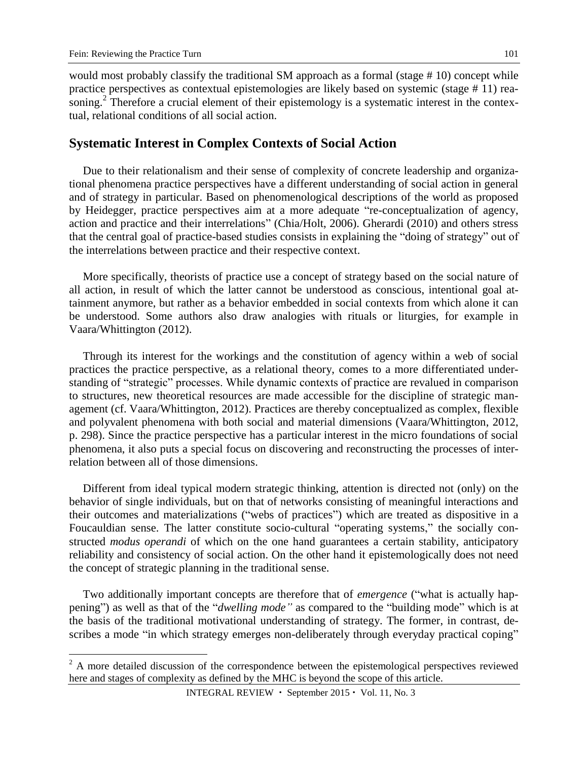$\overline{a}$ 

101

would most probably classify the traditional SM approach as a formal (stage # 10) concept while practice perspectives as contextual epistemologies are likely based on systemic (stage # 11) reasoning.<sup>2</sup> Therefore a crucial element of their epistemology is a systematic interest in the contextual, relational conditions of all social action.

#### **Systematic Interest in Complex Contexts of Social Action**

Due to their relationalism and their sense of complexity of concrete leadership and organizational phenomena practice perspectives have a different understanding of social action in general and of strategy in particular. Based on phenomenological descriptions of the world as proposed by Heidegger, practice perspectives aim at a more adequate "re-conceptualization of agency, action and practice and their interrelations" (Chia/Holt, 2006). Gherardi (2010) and others stress that the central goal of practice-based studies consists in explaining the "doing of strategy" out of the interrelations between practice and their respective context.

More specifically, theorists of practice use a concept of strategy based on the social nature of all action, in result of which the latter cannot be understood as conscious, intentional goal attainment anymore, but rather as a behavior embedded in social contexts from which alone it can be understood. Some authors also draw analogies with rituals or liturgies, for example in Vaara/Whittington (2012).

Through its interest for the workings and the constitution of agency within a web of social practices the practice perspective, as a relational theory, comes to a more differentiated understanding of "strategic" processes. While dynamic contexts of practice are revalued in comparison to structures, new theoretical resources are made accessible for the discipline of strategic management (cf. Vaara/Whittington, 2012). Practices are thereby conceptualized as complex, flexible and polyvalent phenomena with both social and material dimensions (Vaara/Whittington, 2012, p. 298). Since the practice perspective has a particular interest in the micro foundations of social phenomena, it also puts a special focus on discovering and reconstructing the processes of interrelation between all of those dimensions.

Different from ideal typical modern strategic thinking, attention is directed not (only) on the behavior of single individuals, but on that of networks consisting of meaningful interactions and their outcomes and materializations ("webs of practices") which are treated as dispositive in a Foucauldian sense. The latter constitute socio-cultural "operating systems," the socially constructed *modus operandi* of which on the one hand guarantees a certain stability, anticipatory reliability and consistency of social action. On the other hand it epistemologically does not need the concept of strategic planning in the traditional sense.

Two additionally important concepts are therefore that of *emergence* ("what is actually happening") as well as that of the "*dwelling mode"* as compared to the "building mode" which is at the basis of the traditional motivational understanding of strategy. The former, in contrast, describes a mode "in which strategy emerges non-deliberately through everyday practical coping"

 $2^2$  A more detailed discussion of the correspondence between the epistemological perspectives reviewed here and stages of complexity as defined by the MHC is beyond the scope of this article.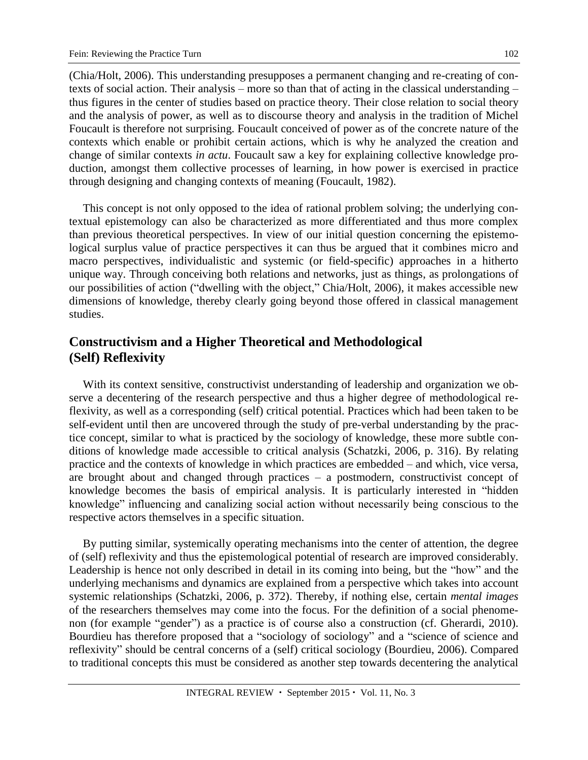(Chia/Holt, 2006). This understanding presupposes a permanent changing and re-creating of contexts of social action. Their analysis – more so than that of acting in the classical understanding – thus figures in the center of studies based on practice theory. Their close relation to social theory and the analysis of power, as well as to discourse theory and analysis in the tradition of Michel Foucault is therefore not surprising. Foucault conceived of power as of the concrete nature of the contexts which enable or prohibit certain actions, which is why he analyzed the creation and change of similar contexts *in actu*. Foucault saw a key for explaining collective knowledge production, amongst them collective processes of learning, in how power is exercised in practice through designing and changing contexts of meaning (Foucault, 1982).

This concept is not only opposed to the idea of rational problem solving; the underlying contextual epistemology can also be characterized as more differentiated and thus more complex than previous theoretical perspectives. In view of our initial question concerning the epistemological surplus value of practice perspectives it can thus be argued that it combines micro and macro perspectives, individualistic and systemic (or field-specific) approaches in a hitherto unique way. Through conceiving both relations and networks, just as things, as prolongations of our possibilities of action ("dwelling with the object," Chia/Holt, 2006), it makes accessible new dimensions of knowledge, thereby clearly going beyond those offered in classical management studies.

### **Constructivism and a Higher Theoretical and Methodological (Self) Reflexivity**

With its context sensitive, constructivist understanding of leadership and organization we observe a decentering of the research perspective and thus a higher degree of methodological reflexivity, as well as a corresponding (self) critical potential. Practices which had been taken to be self-evident until then are uncovered through the study of pre-verbal understanding by the practice concept, similar to what is practiced by the sociology of knowledge, these more subtle conditions of knowledge made accessible to critical analysis (Schatzki, 2006, p. 316). By relating practice and the contexts of knowledge in which practices are embedded – and which, vice versa, are brought about and changed through practices – a postmodern, constructivist concept of knowledge becomes the basis of empirical analysis. It is particularly interested in "hidden knowledge" influencing and canalizing social action without necessarily being conscious to the respective actors themselves in a specific situation.

By putting similar, systemically operating mechanisms into the center of attention, the degree of (self) reflexivity and thus the epistemological potential of research are improved considerably. Leadership is hence not only described in detail in its coming into being, but the "how" and the underlying mechanisms and dynamics are explained from a perspective which takes into account systemic relationships (Schatzki, 2006, p. 372). Thereby, if nothing else, certain *mental images* of the researchers themselves may come into the focus. For the definition of a social phenomenon (for example "gender") as a practice is of course also a construction (cf. Gherardi, 2010). Bourdieu has therefore proposed that a "sociology of sociology" and a "science of science and reflexivity" should be central concerns of a (self) critical sociology (Bourdieu, 2006). Compared to traditional concepts this must be considered as another step towards decentering the analytical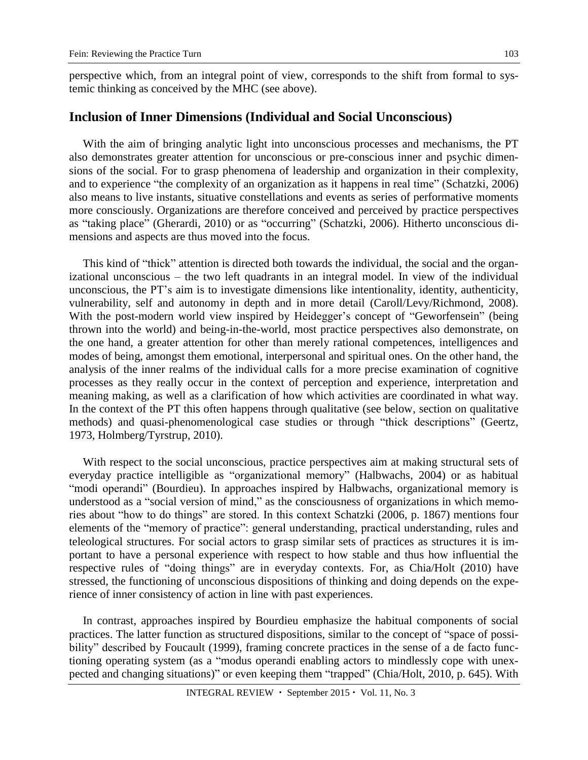perspective which, from an integral point of view, corresponds to the shift from formal to systemic thinking as conceived by the MHC (see above).

#### **Inclusion of Inner Dimensions (Individual and Social Unconscious)**

With the aim of bringing analytic light into unconscious processes and mechanisms, the PT also demonstrates greater attention for unconscious or pre-conscious inner and psychic dimensions of the social. For to grasp phenomena of leadership and organization in their complexity, and to experience "the complexity of an organization as it happens in real time" (Schatzki, 2006) also means to live instants, situative constellations and events as series of performative moments more consciously. Organizations are therefore conceived and perceived by practice perspectives as "taking place" (Gherardi, 2010) or as "occurring" (Schatzki, 2006). Hitherto unconscious dimensions and aspects are thus moved into the focus.

This kind of "thick" attention is directed both towards the individual, the social and the organizational unconscious – the two left quadrants in an integral model. In view of the individual unconscious, the PT's aim is to investigate dimensions like intentionality, identity, authenticity, vulnerability, self and autonomy in depth and in more detail (Caroll/Levy/Richmond, 2008). With the post-modern world view inspired by Heidegger's concept of "Geworfensein" (being thrown into the world) and being-in-the-world, most practice perspectives also demonstrate, on the one hand, a greater attention for other than merely rational competences, intelligences and modes of being, amongst them emotional, interpersonal and spiritual ones. On the other hand, the analysis of the inner realms of the individual calls for a more precise examination of cognitive processes as they really occur in the context of perception and experience, interpretation and meaning making, as well as a clarification of how which activities are coordinated in what way. In the context of the PT this often happens through qualitative (see below, section on qualitative methods) and quasi-phenomenological case studies or through "thick descriptions" (Geertz, 1973, Holmberg/Tyrstrup, 2010).

With respect to the social unconscious, practice perspectives aim at making structural sets of everyday practice intelligible as "organizational memory" (Halbwachs, 2004) or as habitual "modi operandi" (Bourdieu). In approaches inspired by Halbwachs, organizational memory is understood as a "social version of mind," as the consciousness of organizations in which memories about "how to do things" are stored. In this context Schatzki (2006, p. 1867) mentions four elements of the "memory of practice": general understanding, practical understanding, rules and teleological structures. For social actors to grasp similar sets of practices as structures it is important to have a personal experience with respect to how stable and thus how influential the respective rules of "doing things" are in everyday contexts. For, as Chia/Holt (2010) have stressed, the functioning of unconscious dispositions of thinking and doing depends on the experience of inner consistency of action in line with past experiences.

In contrast, approaches inspired by Bourdieu emphasize the habitual components of social practices. The latter function as structured dispositions, similar to the concept of "space of possibility" described by Foucault (1999), framing concrete practices in the sense of a de facto functioning operating system (as a "modus operandi enabling actors to mindlessly cope with unexpected and changing situations)" or even keeping them "trapped" (Chia/Holt, 2010, p. 645). With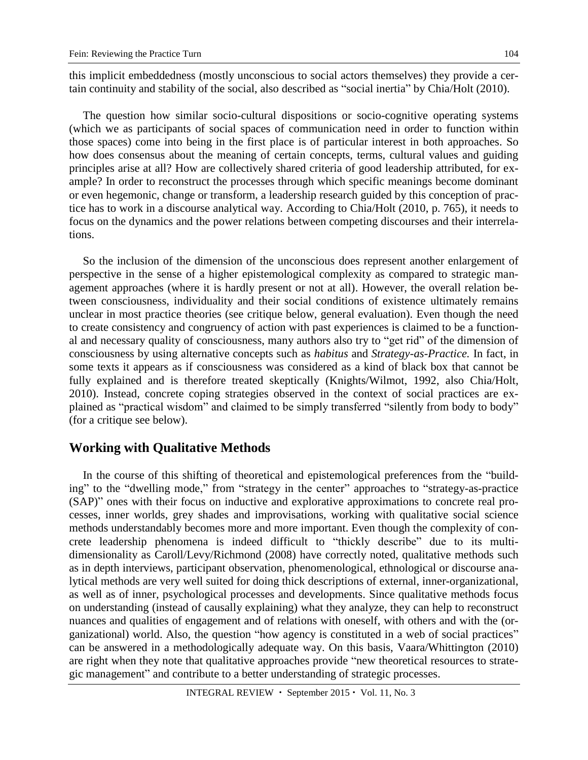this implicit embeddedness (mostly unconscious to social actors themselves) they provide a certain continuity and stability of the social, also described as "social inertia" by Chia/Holt (2010).

The question how similar socio-cultural dispositions or socio-cognitive operating systems (which we as participants of social spaces of communication need in order to function within those spaces) come into being in the first place is of particular interest in both approaches. So how does consensus about the meaning of certain concepts, terms, cultural values and guiding principles arise at all? How are collectively shared criteria of good leadership attributed, for example? In order to reconstruct the processes through which specific meanings become dominant or even hegemonic, change or transform, a leadership research guided by this conception of practice has to work in a discourse analytical way. According to Chia/Holt (2010, p. 765), it needs to focus on the dynamics and the power relations between competing discourses and their interrelations.

So the inclusion of the dimension of the unconscious does represent another enlargement of perspective in the sense of a higher epistemological complexity as compared to strategic management approaches (where it is hardly present or not at all). However, the overall relation between consciousness, individuality and their social conditions of existence ultimately remains unclear in most practice theories (see critique below, general evaluation). Even though the need to create consistency and congruency of action with past experiences is claimed to be a functional and necessary quality of consciousness, many authors also try to "get rid" of the dimension of consciousness by using alternative concepts such as *habitus* and *Strategy-as-Practice.* In fact, in some texts it appears as if consciousness was considered as a kind of black box that cannot be fully explained and is therefore treated skeptically (Knights/Wilmot, 1992, also Chia/Holt, 2010). Instead, concrete coping strategies observed in the context of social practices are explained as "practical wisdom" and claimed to be simply transferred "silently from body to body" (for a critique see below).

#### **Working with Qualitative Methods**

In the course of this shifting of theoretical and epistemological preferences from the "building" to the "dwelling mode," from "strategy in the center" approaches to "strategy-as-practice (SAP)" ones with their focus on inductive and explorative approximations to concrete real processes, inner worlds, grey shades and improvisations, working with qualitative social science methods understandably becomes more and more important. Even though the complexity of concrete leadership phenomena is indeed difficult to "thickly describe" due to its multidimensionality as Caroll/Levy/Richmond (2008) have correctly noted, qualitative methods such as in depth interviews, participant observation, phenomenological, ethnological or discourse analytical methods are very well suited for doing thick descriptions of external, inner-organizational, as well as of inner, psychological processes and developments. Since qualitative methods focus on understanding (instead of causally explaining) what they analyze, they can help to reconstruct nuances and qualities of engagement and of relations with oneself, with others and with the (organizational) world. Also, the question "how agency is constituted in a web of social practices" can be answered in a methodologically adequate way. On this basis, Vaara/Whittington (2010) are right when they note that qualitative approaches provide "new theoretical resources to strategic management" and contribute to a better understanding of strategic processes.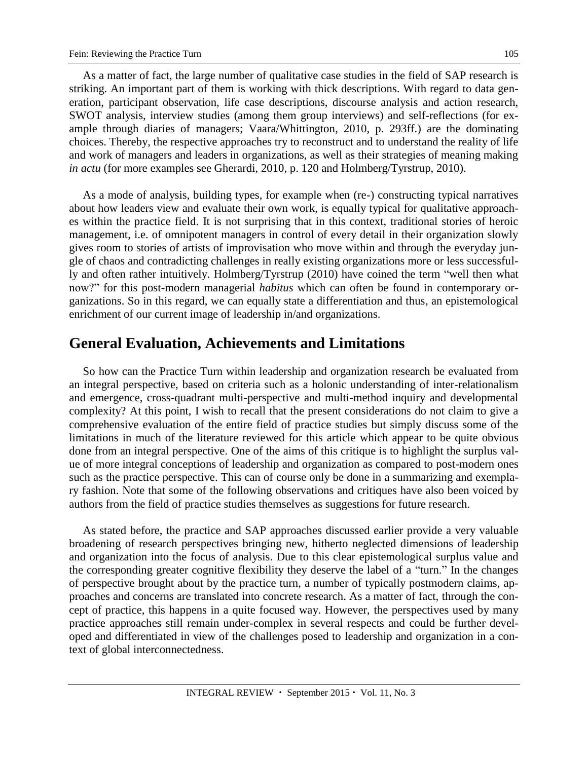As a matter of fact, the large number of qualitative case studies in the field of SAP research is striking. An important part of them is working with thick descriptions. With regard to data generation, participant observation, life case descriptions, discourse analysis and action research, SWOT analysis, interview studies (among them group interviews) and self-reflections (for example through diaries of managers; Vaara/Whittington, 2010, p. 293ff.) are the dominating choices. Thereby, the respective approaches try to reconstruct and to understand the reality of life and work of managers and leaders in organizations, as well as their strategies of meaning making *in actu* (for more examples see Gherardi, 2010, p. 120 and Holmberg/Tyrstrup, 2010).

As a mode of analysis, building types, for example when (re-) constructing typical narratives about how leaders view and evaluate their own work, is equally typical for qualitative approaches within the practice field. It is not surprising that in this context, traditional stories of heroic management, i.e. of omnipotent managers in control of every detail in their organization slowly gives room to stories of artists of improvisation who move within and through the everyday jungle of chaos and contradicting challenges in really existing organizations more or less successfully and often rather intuitively. Holmberg/Tyrstrup (2010) have coined the term "well then what now?" for this post-modern managerial *habitus* which can often be found in contemporary organizations. So in this regard, we can equally state a differentiation and thus, an epistemological enrichment of our current image of leadership in/and organizations.

## **General Evaluation, Achievements and Limitations**

So how can the Practice Turn within leadership and organization research be evaluated from an integral perspective, based on criteria such as a holonic understanding of inter-relationalism and emergence, cross-quadrant multi-perspective and multi-method inquiry and developmental complexity? At this point, I wish to recall that the present considerations do not claim to give a comprehensive evaluation of the entire field of practice studies but simply discuss some of the limitations in much of the literature reviewed for this article which appear to be quite obvious done from an integral perspective. One of the aims of this critique is to highlight the surplus value of more integral conceptions of leadership and organization as compared to post-modern ones such as the practice perspective. This can of course only be done in a summarizing and exemplary fashion. Note that some of the following observations and critiques have also been voiced by authors from the field of practice studies themselves as suggestions for future research.

As stated before, the practice and SAP approaches discussed earlier provide a very valuable broadening of research perspectives bringing new, hitherto neglected dimensions of leadership and organization into the focus of analysis. Due to this clear epistemological surplus value and the corresponding greater cognitive flexibility they deserve the label of a "turn." In the changes of perspective brought about by the practice turn, a number of typically postmodern claims, approaches and concerns are translated into concrete research. As a matter of fact, through the concept of practice, this happens in a quite focused way. However, the perspectives used by many practice approaches still remain under-complex in several respects and could be further developed and differentiated in view of the challenges posed to leadership and organization in a context of global interconnectedness.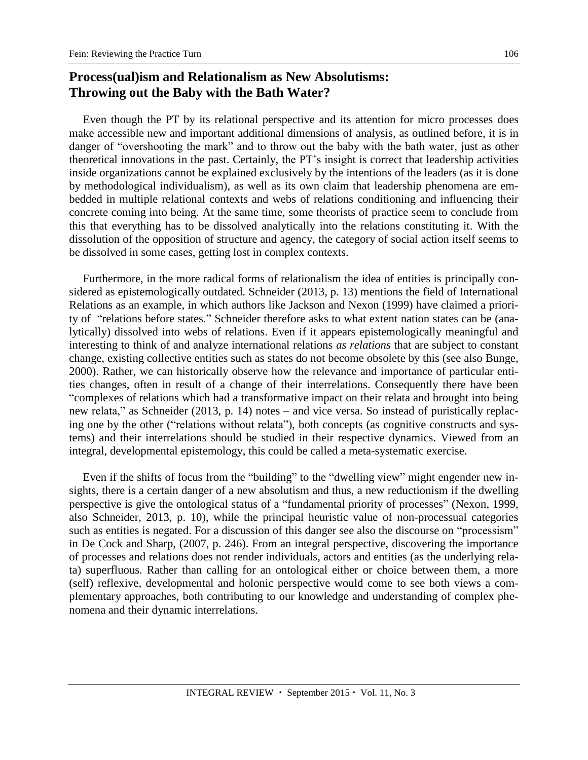### **Process(ual)ism and Relationalism as New Absolutisms: Throwing out the Baby with the Bath Water?**

Even though the PT by its relational perspective and its attention for micro processes does make accessible new and important additional dimensions of analysis, as outlined before, it is in danger of "overshooting the mark" and to throw out the baby with the bath water, just as other theoretical innovations in the past. Certainly, the PT's insight is correct that leadership activities inside organizations cannot be explained exclusively by the intentions of the leaders (as it is done by methodological individualism), as well as its own claim that leadership phenomena are embedded in multiple relational contexts and webs of relations conditioning and influencing their concrete coming into being. At the same time, some theorists of practice seem to conclude from this that everything has to be dissolved analytically into the relations constituting it. With the dissolution of the opposition of structure and agency, the category of social action itself seems to be dissolved in some cases, getting lost in complex contexts.

Furthermore, in the more radical forms of relationalism the idea of entities is principally considered as epistemologically outdated. Schneider (2013, p. 13) mentions the field of International Relations as an example, in which authors like Jackson and Nexon (1999) have claimed a priority of "relations before states." Schneider therefore asks to what extent nation states can be (analytically) dissolved into webs of relations. Even if it appears epistemologically meaningful and interesting to think of and analyze international relations *as relations* that are subject to constant change, existing collective entities such as states do not become obsolete by this (see also Bunge, 2000). Rather, we can historically observe how the relevance and importance of particular entities changes, often in result of a change of their interrelations. Consequently there have been "complexes of relations which had a transformative impact on their relata and brought into being new relata," as Schneider (2013, p. 14) notes – and vice versa. So instead of puristically replacing one by the other ("relations without relata"), both concepts (as cognitive constructs and systems) and their interrelations should be studied in their respective dynamics. Viewed from an integral, developmental epistemology, this could be called a meta-systematic exercise.

Even if the shifts of focus from the "building" to the "dwelling view" might engender new insights, there is a certain danger of a new absolutism and thus, a new reductionism if the dwelling perspective is give the ontological status of a "fundamental priority of processes" (Nexon, 1999, also Schneider, 2013, p. 10), while the principal heuristic value of non-processual categories such as entities is negated. For a discussion of this danger see also the discourse on "processism" in De Cock and Sharp, (2007, p. 246). From an integral perspective, discovering the importance of processes and relations does not render individuals, actors and entities (as the underlying relata) superfluous. Rather than calling for an ontological either or choice between them, a more (self) reflexive, developmental and holonic perspective would come to see both views a complementary approaches, both contributing to our knowledge and understanding of complex phenomena and their dynamic interrelations.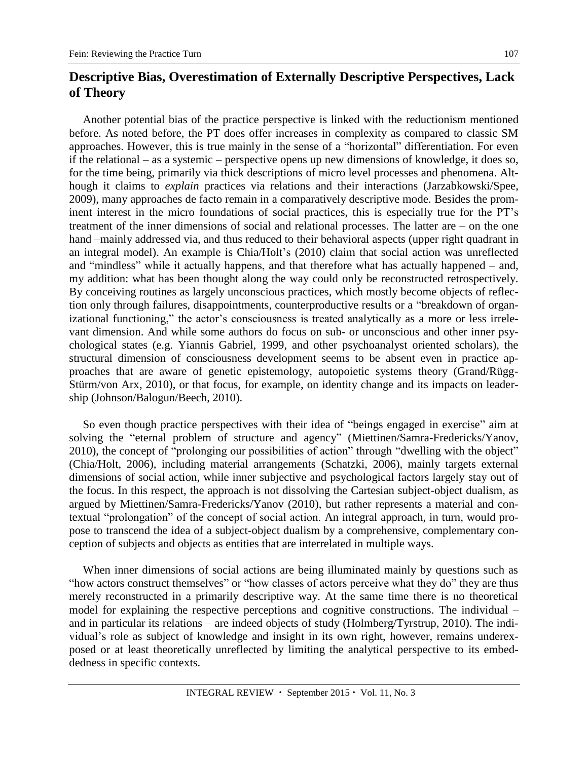### **Descriptive Bias, Overestimation of Externally Descriptive Perspectives, Lack of Theory**

Another potential bias of the practice perspective is linked with the reductionism mentioned before. As noted before, the PT does offer increases in complexity as compared to classic SM approaches. However, this is true mainly in the sense of a "horizontal" differentiation. For even if the relational – as a systemic – perspective opens up new dimensions of knowledge, it does so, for the time being, primarily via thick descriptions of micro level processes and phenomena. Although it claims to *explain* practices via relations and their interactions (Jarzabkowski/Spee, 2009), many approaches de facto remain in a comparatively descriptive mode. Besides the prominent interest in the micro foundations of social practices, this is especially true for the PT's treatment of the inner dimensions of social and relational processes. The latter are – on the one hand –mainly addressed via, and thus reduced to their behavioral aspects (upper right quadrant in an integral model). An example is Chia/Holt's (2010) claim that social action was unreflected and "mindless" while it actually happens, and that therefore what has actually happened – and, my addition: what has been thought along the way could only be reconstructed retrospectively. By conceiving routines as largely unconscious practices, which mostly become objects of reflection only through failures, disappointments, counterproductive results or a "breakdown of organizational functioning," the actor's consciousness is treated analytically as a more or less irrelevant dimension. And while some authors do focus on sub- or unconscious and other inner psychological states (e.g. Yiannis Gabriel, 1999, and other psychoanalyst oriented scholars), the structural dimension of consciousness development seems to be absent even in practice approaches that are aware of genetic epistemology, autopoietic systems theory (Grand/Rügg-Stürm/von Arx, 2010), or that focus, for example, on identity change and its impacts on leadership (Johnson/Balogun/Beech, 2010).

So even though practice perspectives with their idea of "beings engaged in exercise" aim at solving the "eternal problem of structure and agency" (Miettinen/Samra-Fredericks/Yanov, 2010), the concept of "prolonging our possibilities of action" through "dwelling with the object" (Chia/Holt, 2006), including material arrangements (Schatzki, 2006), mainly targets external dimensions of social action, while inner subjective and psychological factors largely stay out of the focus. In this respect, the approach is not dissolving the Cartesian subject-object dualism, as argued by Miettinen/Samra-Fredericks/Yanov (2010), but rather represents a material and contextual "prolongation" of the concept of social action. An integral approach, in turn, would propose to transcend the idea of a subject-object dualism by a comprehensive, complementary conception of subjects and objects as entities that are interrelated in multiple ways.

When inner dimensions of social actions are being illuminated mainly by questions such as "how actors construct themselves" or "how classes of actors perceive what they do" they are thus merely reconstructed in a primarily descriptive way. At the same time there is no theoretical model for explaining the respective perceptions and cognitive constructions. The individual – and in particular its relations – are indeed objects of study (Holmberg/Tyrstrup, 2010). The individual's role as subject of knowledge and insight in its own right, however, remains underexposed or at least theoretically unreflected by limiting the analytical perspective to its embeddedness in specific contexts.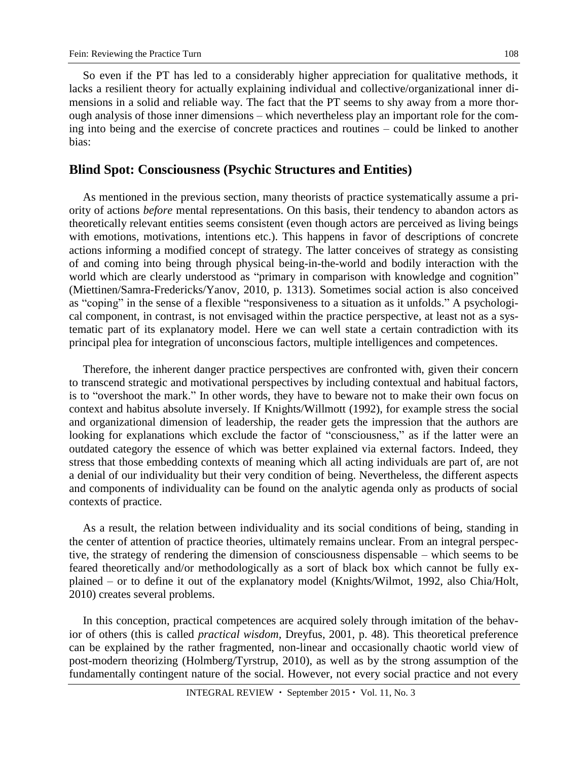So even if the PT has led to a considerably higher appreciation for qualitative methods, it lacks a resilient theory for actually explaining individual and collective/organizational inner dimensions in a solid and reliable way. The fact that the PT seems to shy away from a more thorough analysis of those inner dimensions – which nevertheless play an important role for the coming into being and the exercise of concrete practices and routines – could be linked to another bias:

#### **Blind Spot: Consciousness (Psychic Structures and Entities)**

As mentioned in the previous section, many theorists of practice systematically assume a priority of actions *before* mental representations. On this basis, their tendency to abandon actors as theoretically relevant entities seems consistent (even though actors are perceived as living beings with emotions, motivations, intentions etc.). This happens in favor of descriptions of concrete actions informing a modified concept of strategy. The latter conceives of strategy as consisting of and coming into being through physical being-in-the-world and bodily interaction with the world which are clearly understood as "primary in comparison with knowledge and cognition" (Miettinen/Samra-Fredericks/Yanov, 2010, p. 1313). Sometimes social action is also conceived as "coping" in the sense of a flexible "responsiveness to a situation as it unfolds." A psychological component, in contrast, is not envisaged within the practice perspective, at least not as a systematic part of its explanatory model. Here we can well state a certain contradiction with its principal plea for integration of unconscious factors, multiple intelligences and competences.

Therefore, the inherent danger practice perspectives are confronted with, given their concern to transcend strategic and motivational perspectives by including contextual and habitual factors, is to "overshoot the mark." In other words, they have to beware not to make their own focus on context and habitus absolute inversely. If Knights/Willmott (1992), for example stress the social and organizational dimension of leadership, the reader gets the impression that the authors are looking for explanations which exclude the factor of "consciousness," as if the latter were an outdated category the essence of which was better explained via external factors. Indeed, they stress that those embedding contexts of meaning which all acting individuals are part of, are not a denial of our individuality but their very condition of being. Nevertheless, the different aspects and components of individuality can be found on the analytic agenda only as products of social contexts of practice.

As a result, the relation between individuality and its social conditions of being, standing in the center of attention of practice theories, ultimately remains unclear. From an integral perspective, the strategy of rendering the dimension of consciousness dispensable – which seems to be feared theoretically and/or methodologically as a sort of black box which cannot be fully explained – or to define it out of the explanatory model (Knights/Wilmot, 1992, also Chia/Holt, 2010) creates several problems.

In this conception, practical competences are acquired solely through imitation of the behavior of others (this is called *practical wisdom,* Dreyfus, 2001, p. 48). This theoretical preference can be explained by the rather fragmented, non-linear and occasionally chaotic world view of post-modern theorizing (Holmberg/Tyrstrup, 2010), as well as by the strong assumption of the fundamentally contingent nature of the social. However, not every social practice and not every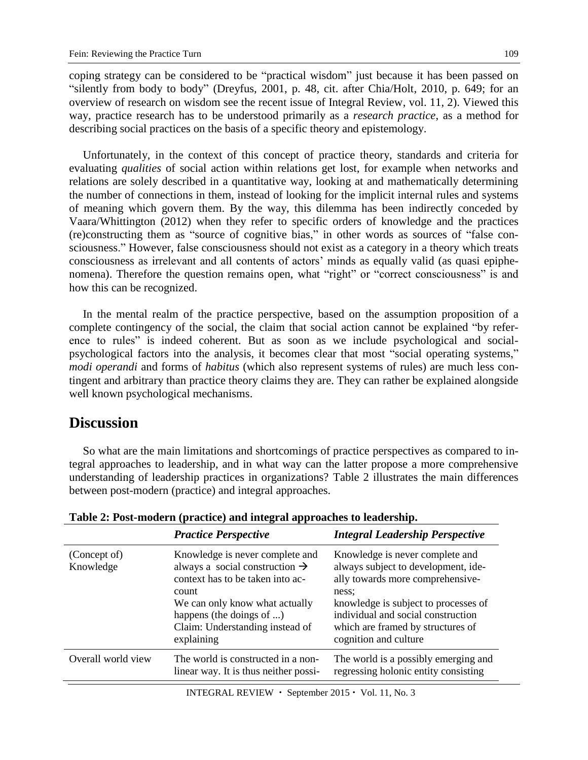coping strategy can be considered to be "practical wisdom" just because it has been passed on "silently from body to body" (Dreyfus, 2001, p. 48, cit. after Chia/Holt, 2010, p. 649; for an overview of research on wisdom see the recent issue of Integral Review, vol. 11, 2). Viewed this way, practice research has to be understood primarily as a *research practice*, as a method for describing social practices on the basis of a specific theory and epistemology.

Unfortunately, in the context of this concept of practice theory, standards and criteria for evaluating *qualities* of social action within relations get lost, for example when networks and relations are solely described in a quantitative way, looking at and mathematically determining the number of connections in them, instead of looking for the implicit internal rules and systems of meaning which govern them. By the way, this dilemma has been indirectly conceded by Vaara/Whittington (2012) when they refer to specific orders of knowledge and the practices (re)constructing them as "source of cognitive bias," in other words as sources of "false consciousness." However, false consciousness should not exist as a category in a theory which treats consciousness as irrelevant and all contents of actors' minds as equally valid (as quasi epiphenomena). Therefore the question remains open, what "right" or "correct consciousness" is and how this can be recognized.

In the mental realm of the practice perspective, based on the assumption proposition of a complete contingency of the social, the claim that social action cannot be explained "by reference to rules" is indeed coherent. But as soon as we include psychological and socialpsychological factors into the analysis, it becomes clear that most "social operating systems," *modi operandi* and forms of *habitus* (which also represent systems of rules) are much less contingent and arbitrary than practice theory claims they are. They can rather be explained alongside well known psychological mechanisms.

### **Discussion**

So what are the main limitations and shortcomings of practice perspectives as compared to integral approaches to leadership, and in what way can the latter propose a more comprehensive understanding of leadership practices in organizations? Table 2 illustrates the main differences between post-modern (practice) and integral approaches.

|                           | <b>Practice Perspective</b>                                                                                                                                                                                                               | <b>Integral Leadership Perspective</b>                                                                                                                                                                                                                          |
|---------------------------|-------------------------------------------------------------------------------------------------------------------------------------------------------------------------------------------------------------------------------------------|-----------------------------------------------------------------------------------------------------------------------------------------------------------------------------------------------------------------------------------------------------------------|
| (Concept of)<br>Knowledge | Knowledge is never complete and<br>always a social construction $\rightarrow$<br>context has to be taken into ac-<br>count<br>We can only know what actually<br>happens (the doings of )<br>Claim: Understanding instead of<br>explaining | Knowledge is never complete and<br>always subject to development, ide-<br>ally towards more comprehensive-<br>ness:<br>knowledge is subject to processes of<br>individual and social construction<br>which are framed by structures of<br>cognition and culture |
| Overall world view        | The world is constructed in a non-<br>linear way. It is thus neither possi-                                                                                                                                                               | The world is a possibly emerging and<br>regressing holonic entity consisting                                                                                                                                                                                    |

**Table 2: Post-modern (practice) and integral approaches to leadership.**

INTEGRAL REVIEW • September 2015 • Vol. 11, No. 3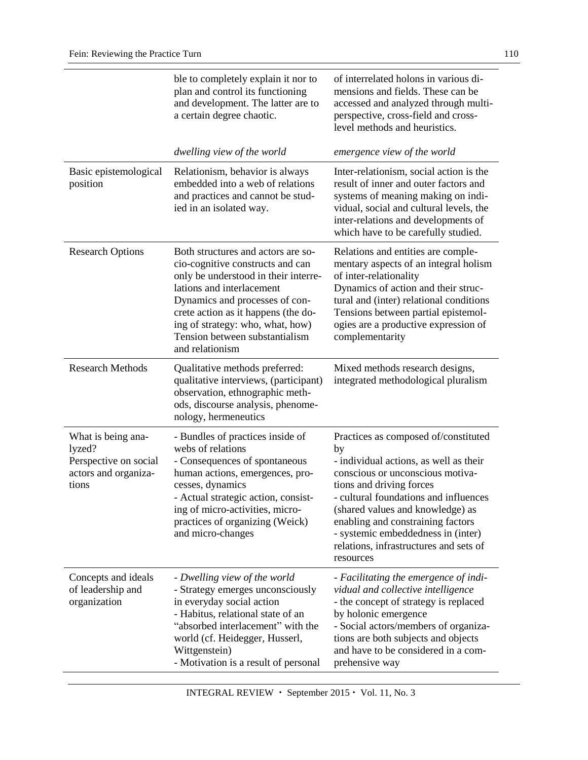|                                                                                        | ble to completely explain it nor to<br>plan and control its functioning<br>and development. The latter are to<br>a certain degree chaotic.                                                                                                                                                                    | of interrelated holons in various di-<br>mensions and fields. These can be<br>accessed and analyzed through multi-<br>perspective, cross-field and cross-<br>level methods and heuristics.                                                                                                                                                                          |
|----------------------------------------------------------------------------------------|---------------------------------------------------------------------------------------------------------------------------------------------------------------------------------------------------------------------------------------------------------------------------------------------------------------|---------------------------------------------------------------------------------------------------------------------------------------------------------------------------------------------------------------------------------------------------------------------------------------------------------------------------------------------------------------------|
|                                                                                        | dwelling view of the world                                                                                                                                                                                                                                                                                    | emergence view of the world                                                                                                                                                                                                                                                                                                                                         |
| Basic epistemological<br>position                                                      | Relationism, behavior is always<br>embedded into a web of relations<br>and practices and cannot be stud-<br>ied in an isolated way.                                                                                                                                                                           | Inter-relationism, social action is the<br>result of inner and outer factors and<br>systems of meaning making on indi-<br>vidual, social and cultural levels, the<br>inter-relations and developments of<br>which have to be carefully studied.                                                                                                                     |
| <b>Research Options</b>                                                                | Both structures and actors are so-<br>cio-cognitive constructs and can<br>only be understood in their interre-<br>lations and interlacement<br>Dynamics and processes of con-<br>crete action as it happens (the do-<br>ing of strategy: who, what, how)<br>Tension between substantialism<br>and relationism | Relations and entities are comple-<br>mentary aspects of an integral holism<br>of inter-relationality<br>Dynamics of action and their struc-<br>tural and (inter) relational conditions<br>Tensions between partial epistemol-<br>ogies are a productive expression of<br>complementarity                                                                           |
| <b>Research Methods</b>                                                                | Qualitative methods preferred:<br>qualitative interviews, (participant)<br>observation, ethnographic meth-<br>ods, discourse analysis, phenome-<br>nology, hermeneutics                                                                                                                                       | Mixed methods research designs,<br>integrated methodological pluralism                                                                                                                                                                                                                                                                                              |
| What is being ana-<br>lyzed?<br>Perspective on social<br>actors and organiza-<br>tions | - Bundles of practices inside of<br>webs of relations<br>- Consequences of spontaneous<br>human actions, emergences, pro-<br>cesses, dynamics<br>- Actual strategic action, consist-<br>ing of micro-activities, micro-<br>practices of organizing (Weick)<br>and micro-changes                               | Practices as composed of/constituted<br>by<br>- individual actions, as well as their<br>conscious or unconscious motiva-<br>tions and driving forces<br>- cultural foundations and influences<br>(shared values and knowledge) as<br>enabling and constraining factors<br>- systemic embeddedness in (inter)<br>relations, infrastructures and sets of<br>resources |
| Concepts and ideals<br>of leadership and<br>organization                               | - Dwelling view of the world<br>- Strategy emerges unconsciously<br>in everyday social action<br>- Habitus, relational state of an<br>"absorbed interlacement" with the<br>world (cf. Heidegger, Husserl,<br>Wittgenstein)<br>- Motivation is a result of personal                                            | - Facilitating the emergence of indi-<br>vidual and collective intelligence<br>- the concept of strategy is replaced<br>by holonic emergence<br>- Social actors/members of organiza-<br>tions are both subjects and objects<br>and have to be considered in a com-<br>prehensive way                                                                                |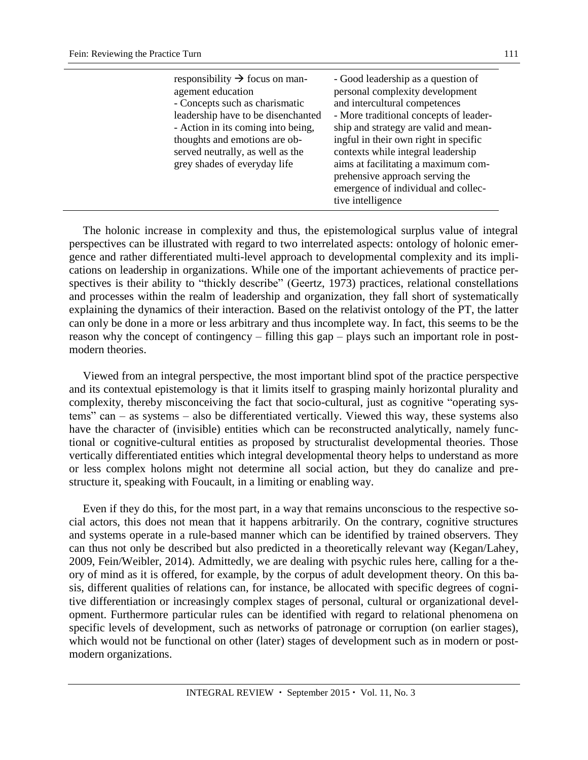| responsibility $\rightarrow$ focus on man-<br>agement education<br>- Concepts such as charismatic<br>leadership have to be disenchanted<br>- Action in its coming into being,<br>thoughts and emotions are ob-<br>served neutrally, as well as the<br>grey shades of everyday life | - Good leadership as a question of<br>personal complexity development<br>and intercultural competences<br>- More traditional concepts of leader-<br>ship and strategy are valid and mean-<br>ingful in their own right in specific<br>contexts while integral leadership<br>aims at facilitating a maximum com-<br>prehensive approach serving the<br>emergence of individual and collec-<br>tive intelligence |
|------------------------------------------------------------------------------------------------------------------------------------------------------------------------------------------------------------------------------------------------------------------------------------|----------------------------------------------------------------------------------------------------------------------------------------------------------------------------------------------------------------------------------------------------------------------------------------------------------------------------------------------------------------------------------------------------------------|
|------------------------------------------------------------------------------------------------------------------------------------------------------------------------------------------------------------------------------------------------------------------------------------|----------------------------------------------------------------------------------------------------------------------------------------------------------------------------------------------------------------------------------------------------------------------------------------------------------------------------------------------------------------------------------------------------------------|

The holonic increase in complexity and thus, the epistemological surplus value of integral perspectives can be illustrated with regard to two interrelated aspects: ontology of holonic emergence and rather differentiated multi-level approach to developmental complexity and its implications on leadership in organizations. While one of the important achievements of practice perspectives is their ability to "thickly describe" (Geertz, 1973) practices, relational constellations and processes within the realm of leadership and organization, they fall short of systematically explaining the dynamics of their interaction. Based on the relativist ontology of the PT, the latter can only be done in a more or less arbitrary and thus incomplete way. In fact, this seems to be the reason why the concept of contingency – filling this gap – plays such an important role in postmodern theories.

Viewed from an integral perspective, the most important blind spot of the practice perspective and its contextual epistemology is that it limits itself to grasping mainly horizontal plurality and complexity, thereby misconceiving the fact that socio-cultural, just as cognitive "operating systems" can – as systems – also be differentiated vertically. Viewed this way, these systems also have the character of (invisible) entities which can be reconstructed analytically, namely functional or cognitive-cultural entities as proposed by structuralist developmental theories. Those vertically differentiated entities which integral developmental theory helps to understand as more or less complex holons might not determine all social action, but they do canalize and prestructure it, speaking with Foucault, in a limiting or enabling way.

Even if they do this, for the most part, in a way that remains unconscious to the respective social actors, this does not mean that it happens arbitrarily. On the contrary, cognitive structures and systems operate in a rule-based manner which can be identified by trained observers. They can thus not only be described but also predicted in a theoretically relevant way (Kegan/Lahey, 2009, Fein/Weibler, 2014). Admittedly, we are dealing with psychic rules here, calling for a theory of mind as it is offered, for example, by the corpus of adult development theory. On this basis, different qualities of relations can, for instance, be allocated with specific degrees of cognitive differentiation or increasingly complex stages of personal, cultural or organizational development. Furthermore particular rules can be identified with regard to relational phenomena on specific levels of development, such as networks of patronage or corruption (on earlier stages), which would not be functional on other (later) stages of development such as in modern or postmodern organizations.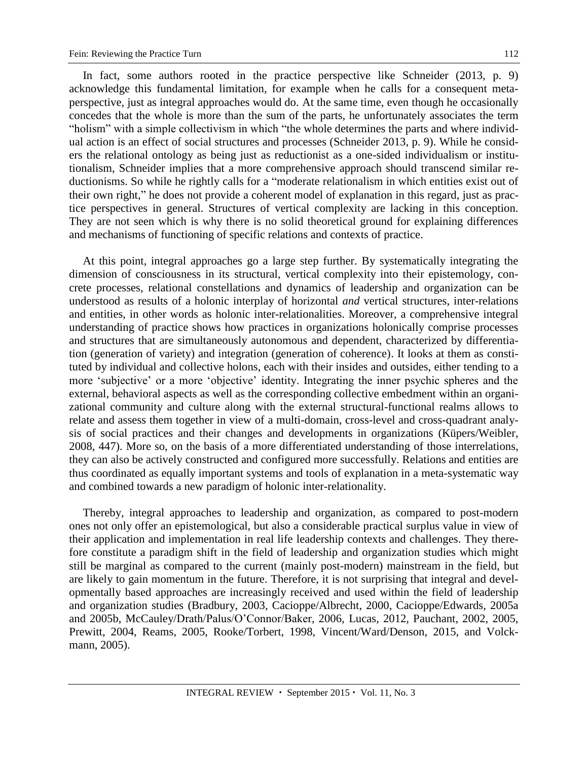In fact, some authors rooted in the practice perspective like Schneider (2013, p. 9) acknowledge this fundamental limitation, for example when he calls for a consequent metaperspective, just as integral approaches would do. At the same time, even though he occasionally concedes that the whole is more than the sum of the parts, he unfortunately associates the term "holism" with a simple collectivism in which "the whole determines the parts and where individual action is an effect of social structures and processes (Schneider 2013, p. 9). While he considers the relational ontology as being just as reductionist as a one-sided individualism or institutionalism, Schneider implies that a more comprehensive approach should transcend similar reductionisms. So while he rightly calls for a "moderate relationalism in which entities exist out of their own right," he does not provide a coherent model of explanation in this regard, just as practice perspectives in general. Structures of vertical complexity are lacking in this conception. They are not seen which is why there is no solid theoretical ground for explaining differences and mechanisms of functioning of specific relations and contexts of practice.

At this point, integral approaches go a large step further. By systematically integrating the dimension of consciousness in its structural, vertical complexity into their epistemology, concrete processes, relational constellations and dynamics of leadership and organization can be understood as results of a holonic interplay of horizontal *and* vertical structures, inter-relations and entities, in other words as holonic inter-relationalities. Moreover, a comprehensive integral understanding of practice shows how practices in organizations holonically comprise processes and structures that are simultaneously autonomous and dependent, characterized by differentiation (generation of variety) and integration (generation of coherence). It looks at them as constituted by individual and collective holons, each with their insides and outsides, either tending to a more 'subjective' or a more 'objective' identity. Integrating the inner psychic spheres and the external, behavioral aspects as well as the corresponding collective embedment within an organizational community and culture along with the external structural-functional realms allows to relate and assess them together in view of a multi-domain, cross-level and cross-quadrant analysis of social practices and their changes and developments in organizations (Küpers/Weibler, 2008, 447). More so, on the basis of a more differentiated understanding of those interrelations, they can also be actively constructed and configured more successfully. Relations and entities are thus coordinated as equally important systems and tools of explanation in a meta-systematic way and combined towards a new paradigm of holonic inter-relationality.

Thereby, integral approaches to leadership and organization, as compared to post-modern ones not only offer an epistemological, but also a considerable practical surplus value in view of their application and implementation in real life leadership contexts and challenges. They therefore constitute a paradigm shift in the field of leadership and organization studies which might still be marginal as compared to the current (mainly post-modern) mainstream in the field, but are likely to gain momentum in the future. Therefore, it is not surprising that integral and developmentally based approaches are increasingly received and used within the field of leadership and organization studies (Bradbury, 2003, Cacioppe/Albrecht, 2000, Cacioppe/Edwards, 2005a and 2005b, McCauley/Drath/Palus/O'Connor/Baker, 2006, Lucas, 2012, Pauchant, 2002, 2005, Prewitt, 2004, Reams, 2005, Rooke/Torbert, 1998, Vincent/Ward/Denson, 2015, and Volckmann, 2005).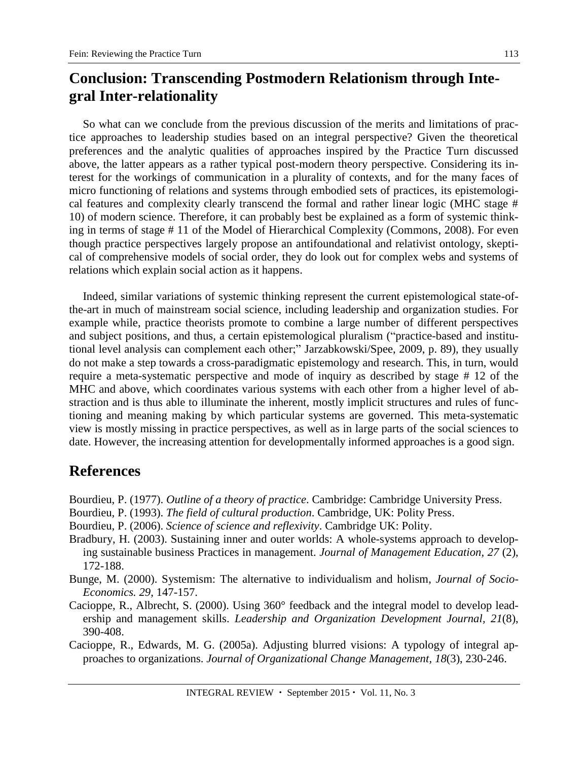# **Conclusion: Transcending Postmodern Relationism through Integral Inter-relationality**

So what can we conclude from the previous discussion of the merits and limitations of practice approaches to leadership studies based on an integral perspective? Given the theoretical preferences and the analytic qualities of approaches inspired by the Practice Turn discussed above, the latter appears as a rather typical post-modern theory perspective. Considering its interest for the workings of communication in a plurality of contexts, and for the many faces of micro functioning of relations and systems through embodied sets of practices, its epistemological features and complexity clearly transcend the formal and rather linear logic (MHC stage # 10) of modern science. Therefore, it can probably best be explained as a form of systemic thinking in terms of stage # 11 of the Model of Hierarchical Complexity (Commons, 2008). For even though practice perspectives largely propose an antifoundational and relativist ontology, skeptical of comprehensive models of social order, they do look out for complex webs and systems of relations which explain social action as it happens.

Indeed, similar variations of systemic thinking represent the current epistemological state-ofthe-art in much of mainstream social science, including leadership and organization studies. For example while, practice theorists promote to combine a large number of different perspectives and subject positions, and thus, a certain epistemological pluralism ("practice-based and institutional level analysis can complement each other;" Jarzabkowski/Spee, 2009, p. 89), they usually do not make a step towards a cross-paradigmatic epistemology and research. This, in turn, would require a meta-systematic perspective and mode of inquiry as described by stage # 12 of the MHC and above, which coordinates various systems with each other from a higher level of abstraction and is thus able to illuminate the inherent, mostly implicit structures and rules of functioning and meaning making by which particular systems are governed. This meta-systematic view is mostly missing in practice perspectives, as well as in large parts of the social sciences to date. However, the increasing attention for developmentally informed approaches is a good sign.

# **References**

- Bourdieu, P. (1977). *Outline of a theory of practice*. Cambridge: Cambridge University Press.
- Bourdieu, P. (1993). *The field of cultural production*. Cambridge, UK: Polity Press.
- Bourdieu, P. (2006). *Science of science and reflexivity*. Cambridge UK: Polity.
- Bradbury, H. (2003). Sustaining inner and outer worlds: A whole-systems approach to developing sustainable business Practices in management. *Journal of Management Education, 27* (2), 172-188.
- Bunge, M. (2000). Systemism: The alternative to individualism and holism, *Journal of Socio-Economics. 29*, 147-157.
- Cacioppe, R., Albrecht, S. (2000). Using 360° feedback and the integral model to develop leadership and management skills. *Leadership and Organization Development Journal, 21*(8), 390-408.
- Cacioppe, R., Edwards, M. G. (2005a). Adjusting blurred visions: A typology of integral approaches to organizations. *Journal of Organizational Change Management, 18*(3), 230-246.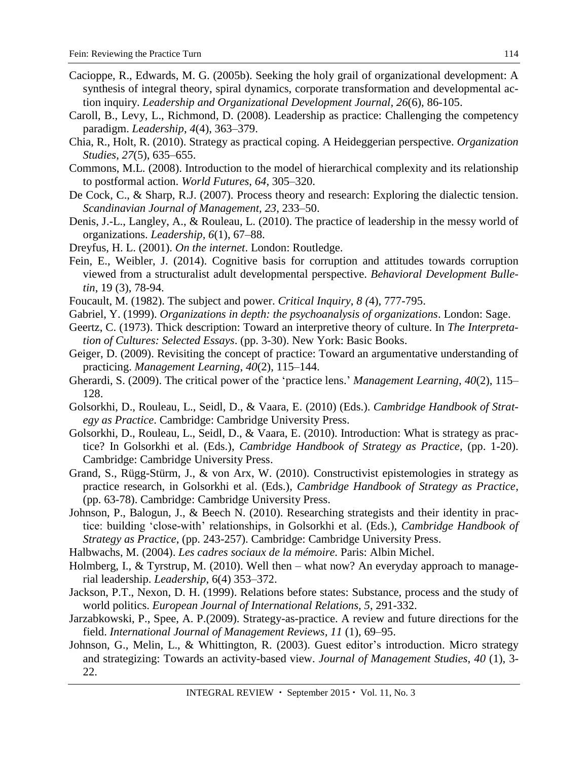- Cacioppe, R., Edwards, M. G. (2005b). Seeking the holy grail of organizational development: A synthesis of integral theory, spiral dynamics, corporate transformation and developmental action inquiry. *Leadership and Organizational Development Journal, 26*(6), 86-105.
- Caroll, B., Levy, L., Richmond, D. (2008). Leadership as practice: Challenging the competency paradigm. *Leadership*, *4*(4), 363–379.
- Chia, R., Holt, R. (2010). Strategy as practical coping. A Heideggerian perspective. *Organization Studies*, *27*(5), 635–655.
- Commons, M.L. (2008). Introduction to the model of hierarchical complexity and its relationship to postformal action. *World Futures*, *64*, 305–320.
- De Cock, C., & Sharp, R.J. (2007). Process theory and research: Exploring the dialectic tension. *Scandinavian Journal of Management, 23*, 233–50.
- Denis, J.-L., Langley, A., & Rouleau, L. (2010). The practice of leadership in the messy world of organizations. *Leadership, 6*(1), 67–88.
- Dreyfus, H. L. (2001). *On the internet*. London: Routledge.
- Fein, E., Weibler, J. (2014). [Cognitive basis for corruption and attitudes towards corruption](http://www.adultdevelopment.org/FeinWeibler2012a.pdf)  [viewed from a structuralist adult developmental perspective.](http://www.adultdevelopment.org/FeinWeibler2012a.pdf) *[Behavioral Development Bulle](http://connection.ebscohost.com/c/articles/98398585/cognitive-basis-corruption-attitudes-towards-corruption-organizations-viewed-from-structuralist-adult-developmental-meta-perspective)[tin](http://connection.ebscohost.com/c/articles/98398585/cognitive-basis-corruption-attitudes-towards-corruption-organizations-viewed-from-structuralist-adult-developmental-meta-perspective)*, 19 (3), 78-94.
- Foucault, M. (1982). The subject and power. *Critical Inquiry*, *8 (*4), 777-795.
- Gabriel, Y. (1999). *Organizations in depth: the psychoanalysis of organizations*. London: Sage.
- Geertz, C. (1973). Thick description: Toward an interpretive theory of culture. In *The Interpretation of Cultures: Selected Essays*. (pp. 3-30). New York: Basic Books.
- Geiger, D. (2009). Revisiting the concept of practice: Toward an argumentative understanding of practicing. *Management Learning*, *40*(2), 115–144.
- Gherardi, S. (2009). The critical power of the 'practice lens.' *Management Learning*, *40*(2), 115– 128.
- Golsorkhi, D., Rouleau, L., Seidl, D., & Vaara, E. (2010) (Eds.). *Cambridge Handbook of Strategy as Practice*. Cambridge: Cambridge University Press.
- Golsorkhi, D., Rouleau, L., Seidl, D., & Vaara, E. (2010). Introduction: What is strategy as practice? In Golsorkhi et al. (Eds.), *Cambridge Handbook of Strategy as Practice*, (pp. 1-20). Cambridge: Cambridge University Press.
- Grand, S., Rügg-Stürm, J., & von Arx, W. (2010). Constructivist epistemologies in strategy as practice research, in Golsorkhi et al. (Eds.), *Cambridge Handbook of Strategy as Practice*, (pp. 63-78). Cambridge: Cambridge University Press.
- Johnson, P., Balogun, J., & Beech N. (2010). Researching strategists and their identity in practice: building 'close-with' relationships, in Golsorkhi et al. (Eds.), *Cambridge Handbook of Strategy as Practice*, (pp. 243-257). Cambridge: Cambridge University Press.
- Halbwachs, M. (2004). *Les cadres sociaux de la mémoire.* Paris: Albin Michel.
- Holmberg, I., & Tyrstrup, M. (2010). Well then what now? An everyday approach to managerial leadership. *Leadership*, 6(4) 353–372.
- Jackson, P.T., Nexon, D. H. (1999). Relations before states: Substance, process and the study of world politics. *European Journal of International Relations, 5*, 291-332.
- Jarzabkowski, P., Spee, A. P.(2009). Strategy-as-practice. A review and future directions for the field. *International Journal of Management Reviews, 11* (1), 69–95.
- Johnson, G., Melin, L., & Whittington, R. (2003). Guest editor's introduction. Micro strategy and strategizing: Towards an activity-based view. *Journal of Management Studies*, *40* (1), 3- 22.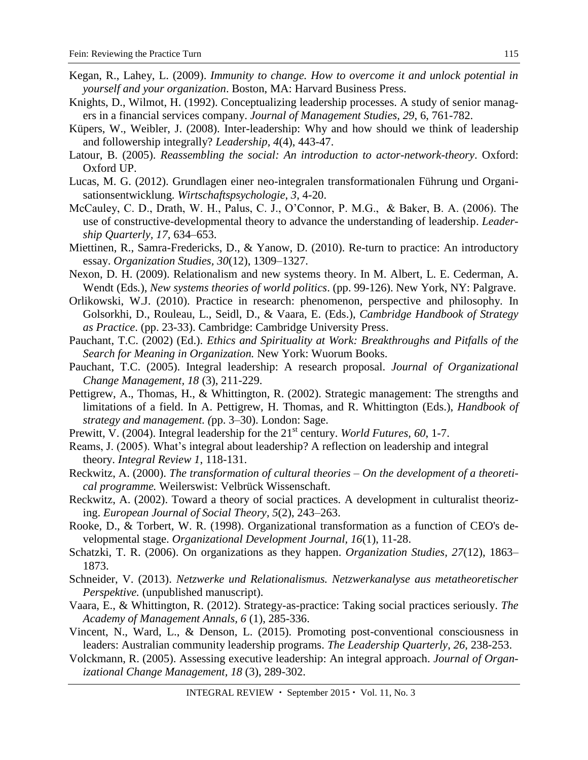- Kegan, R., Lahey, L. (2009). *Immunity to change. How to overcome it and unlock potential in yourself and your organization*. Boston, MA: Harvard Business Press.
- Knights, D., Wilmot, H. (1992). Conceptualizing leadership processes. A study of senior managers in a financial services company. *Journal of Management Studies, 29*, 6, 761-782.
- Küpers, W., Weibler, J. (2008). Inter-leadership: Why and how should we think of leadership and followership integrally? *Leadership, 4*(4), 443-47.
- Latour, B. (2005). *Reassembling the social: An introduction to actor-network-theory*. Oxford: Oxford UP.
- Lucas, M. G. (2012). Grundlagen einer neo-integralen transformationalen Führung und Organisationsentwicklung. *Wirtschaftspsychologie*, *3*, 4-20.
- McCauley, C. D., Drath, W. H., Palus, C. J., O'Connor, P. M.G., & Baker, B. A. (2006). The use of constructive-developmental theory to advance the understanding of leadership. *Leadership Quarterly, 17,* 634–653.
- Miettinen, R., Samra-Fredericks, D., & Yanow, D. (2010). Re-turn to practice: An introductory essay. *Organization Studies, 30*(12), 1309–1327.
- Nexon, D. H. (2009). Relationalism and new systems theory. In M. Albert, L. E. Cederman, A. Wendt (Eds*.*), *New systems theories of world politics*. (pp. 99-126). New York, NY: Palgrave.
- Orlikowski, W.J. (2010). Practice in research: phenomenon, perspective and philosophy. In Golsorkhi, D., Rouleau, L., Seidl, D., & Vaara, E. (Eds.), *Cambridge Handbook of Strategy as Practice*. (pp. 23-33). Cambridge: Cambridge University Press.
- Pauchant, T.C. (2002) (Ed.). *Ethics and Spirituality at Work: Breakthroughs and Pitfalls of the Search for Meaning in Organization.* New York: Wuorum Books.
- Pauchant, T.C. (2005). Integral leadership: A research proposal. *Journal of Organizational Change Management, 18* (3), 211-229.
- Pettigrew, A., Thomas, H., & Whittington, R. (2002). Strategic management: The strengths and limitations of a field. In A. Pettigrew, H. Thomas, and R. Whittington (Eds.), *Handbook of strategy and management. (*pp. 3–30). London: Sage.
- Prewitt, V. (2004). Integral leadership for the 21<sup>st</sup> century. *World Futures*, 60, 1-7.
- Reams, J. (2005). What's integral about leadership? A reflection on leadership and integral theory. *Integral Review 1*, 118-131.
- Reckwitz, A. (2000). *The transformation of cultural theories – On the development of a theoretical programme.* Weilerswist: Velbrück Wissenschaft.
- Reckwitz, A. (2002). Toward a theory of social practices. A development in culturalist theorizing. *European Journal of Social Theory, 5*(2), 243–263.
- Rooke, D., & Torbert, W. R. (1998). Organizational transformation as a function of CEO's developmental stage. *Organizational Development Journal, 16*(1), 11-28.
- Schatzki, T. R. (2006). On organizations as they happen. *Organization Studies, 27*(12), 1863– 1873.
- Schneider, V. (2013). *Netzwerke und Relationalismus. Netzwerkanalyse aus metatheoretischer Perspektive.* (unpublished manuscript).
- Vaara, E., & Whittington, R. (2012). Strategy-as-practice: Taking social practices seriously. *The Academy of Management Annals, 6* (1), 285-336.
- Vincent, N., Ward, L., & Denson, L. (2015). Promoting post-conventional consciousness in leaders: Australian community leadership programs. *The Leadership Quarterly*, *26*, 238-253.
- Volckmann, R. (2005). Assessing executive leadership: An integral approach. *Journal of Organizational Change Management, 18* (3), 289-302.